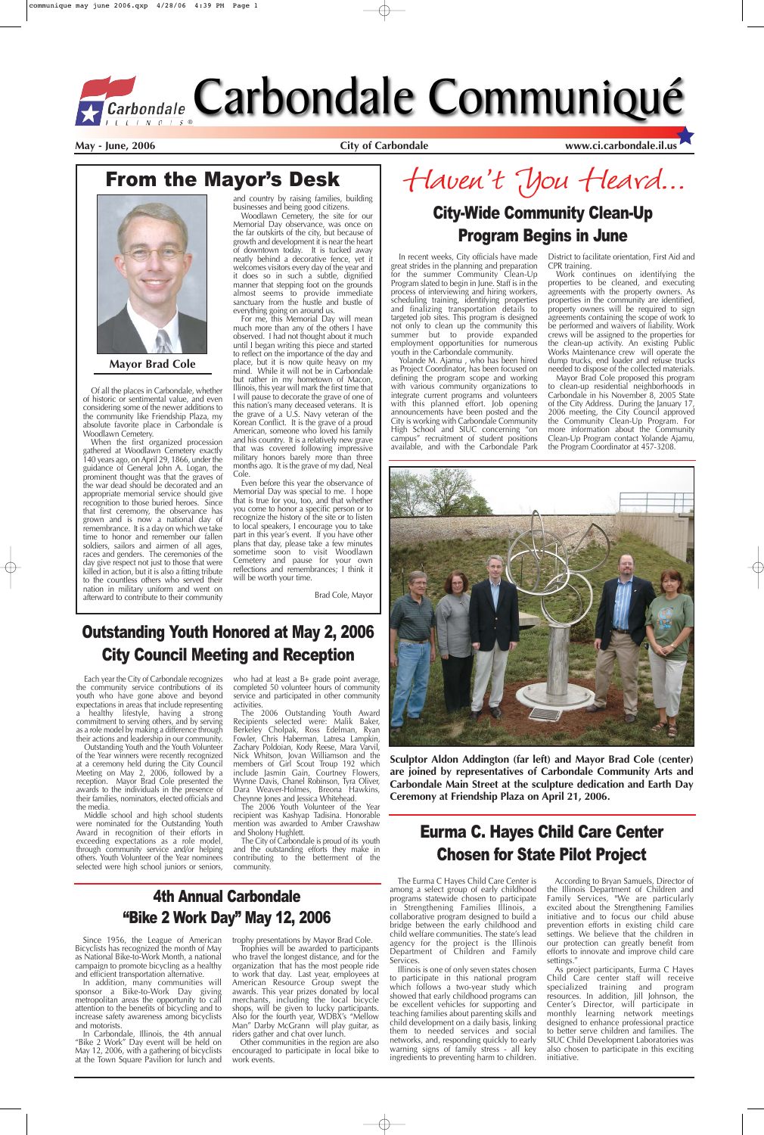In recent weeks, City officials have made great strides in the planning and preparation for the summer Community Clean-Up Program slated to begin in June. Staff is in the process of interviewing and hiring workers, scheduling training, identifying properties and finalizing transportation details to targeted job sites. This program is designed not only to clean up the community this summer but to provide expanded employment opportunities for numerous youth in the Carbondale community.

Yolande M. Ajamu , who has been hired as Project Coordinator, has been focused on defining the program scope and working with various community organizations to integrate current programs and volunteers with this planned effort. Job opening announcements have been posted and the City is working with Carbondale Community High School and SIUC concerning "on campus" recruitment of student positions available, and with the Carbondale Park

District to facilitate orientation, First Aid and CPR training.

Haven't You Heard... City-Wide Community Clean-Up

Work continues on identifying the properties to be cleaned, and executing agreements with the property owners. As properties in the community are identified, property owners will be required to sign agreements containing the scope of work to be performed and waivers of liability. Work crews will be assigned to the properties for the clean-up activity. An existing Public Works Maintenance crew will operate the dump trucks, end loader and refuse trucks needed to dispose of the collected materials.

Mayor Brad Cole proposed this program to clean-up residential neighborhoods in Carbondale in his November 8, 2005 State of the City Address. During the January 17, 2006 meeting, the City Council approved the Community Clean-Up Program. For more information about the Community Clean-Up Program contact Yolande Ajamu, the Program Coordinator at 457-3208.



## From the Mayor's Desk



May - June, 2006 **City of Carbondale WWW.ci.carbondale.il.us** 

### Program Begins in June

The City of Carbondale is proud of its youth and the outstanding efforts they make in contributing to the betterment of the community.

**Sculptor Aldon Addington (far left) and Mayor Brad Cole (center) are joined by representatives of Carbondale Community Arts and Carbondale Main Street at the sculpture dedication and Earth Day**

**Ceremony at Friendship Plaza on April 21, 2006.**

Each year the City of Carbondale recognizes the community service contributions of its youth who have gone above and beyond expectations in areas that include representing a healthy lifestyle, having a strong commitment to serving others, and by serving as a role model by making a difference through their actions and leadership in our community.

Outstanding Youth and the Youth Volunteer of the Year winners were recently recognized at a ceremony held during the City Council Meeting on May 2, 2006, followed by a reception. Mayor Brad Cole presented the awards to the individuals in the presence of their families, nominators, elected officials and the media. Middle school and high school students were nominated for the Outstanding Youth Award in recognition of their efforts in exceeding expectations as a role model, through community service and/or helping others. Youth Volunteer of the Year nominees selected were high school juniors or seniors,

who had at least a B+ grade point average, completed 50 volunteer hours of community service and participated in other community activities.

The 2006 Outstanding Youth Award Recipients selected were: Malik Baker, Berkeley Cholpak, Ross Edelman, Ryan Fowler, Chris Haberman, Latresa Lampkin, Zachary Poldoian, Kody Reese, Mara Varvil, Nick Whitson, Jovan Williamson and the members of Girl Scout Troup 192 which include Jasmin Gain, Courtney Flowers, Wynne Davis, Chanel Robinson, Tyra Oliver, Dara Weaver-Holmes, Breona Hawkins, Cheynne Jones and Jessica Whitehead.

The 2006 Youth Volunteer of the Year recipient was Kashyap Tadisina. Honorable mention was awarded to Amber Crawshaw and Sholony Hughlett.

### Outstanding Youth Honored at May 2, 2006 City Council Meeting and Reception

Since 1956, the League of American Bicyclists has recognized the month of May as National Bike-to-Work Month, a national campaign to promote bicycling as a healthy and efficient transportation alternative.

In addition, many communities will sponsor a Bike-to-Work Day giving metropolitan areas the opportunity to call attention to the benefits of bicycling and to increase safety awareness among bicyclists and motorists.

According to Bryan Samuels, Director of the Illinois Department of Children and Family Services, "We are particularly excited about the Strengthening Families initiative and to focus our child abuse prevention efforts in existing child care settings. We believe that the children in our protection can greatly benefit from efforts to innovate and improve child care settings.

In Carbondale, Illinois, the 4th annual "Bike 2 Work" Day event will be held on May 12, 2006, with a gathering of bicyclists at the Town Square Pavilion for lunch and

trophy presentations by Mayor Brad Cole.

Trophies will be awarded to participants who travel the longest distance, and for the organization that has the most people ride to work that day. Last year, employees at American Resource Group swept the awards. This year prizes donated by local merchants, including the local bicycle shops, will be given to lucky participants. Also for the fourth year, WDBX's "Mellow Man" Darby McGrann will play guitar, as riders gather and chat over lunch.

Other communities in the region are also encouraged to participate in local bike to work events.

### 4th Annual Carbondale "Bike 2 Work Day" May 12, 2006

## Eurma C. Hayes Child Care Center Chosen for State Pilot Project

Of all the places in Carbondale, whether of historic or sentimental value, and even considering some of the newer additions to the community like Friendship Plaza, my absolute favorite place in Carbondale is Woodlawn Cemetery.

When the first organized procession gathered at Woodlawn Cemetery exactly 140 years ago, on April 29, 1866, under the guidance of General John A. Logan, the prominent thought was that the graves of the war dead should be decorated and an appropriate memorial service should give recognition to those buried heroes. Since that first ceremony, the observance has grown and is now a national day of remembrance. It is a day on which we take time to honor and remember our fallen soldiers, sailors and airmen of all ages, races and genders. The ceremonies of the day give respect not just to those that were killed in action, but it is also a fitting tribute to the countless others who served their nation in military uniform and went on afterward to contribute to their community and country by raising families, building businesses and being good citizens.

Woodlawn Cemetery, the site for our Memorial Day observance, was once on the far outskirts of the city, but because of growth and development it is near the heart of downtown today. It is tucked away neatly behind a decorative fence, yet it welcomes visitors every day of the year and it does so in such a subtle, dignified manner that stepping foot on the grounds almost seems to provide immediate sanctuary from the hustle and bustle of everything going on around us.

For me, this Memorial Day will mean much more than any of the others I have observed. I had not thought about it much until I began writing this piece and started to reflect on the importance of the day and place, but it is now quite heavy on my mind. While it will not be in Carbondale but rather in my hometown of Macon, Illinois, this year will mark the first time that I will pause to decorate the grave of one of this nation's many deceased veterans. It is the grave of a U.S. Navy veteran of the Korean Conflict. It is the grave of a proud American, someone who loved his family and his country. It is a relatively new grave that was covered following impressive military honors barely more than three months ago. It is the grave of my dad, Neal Cole.

Even before this year the observance of Memorial Day was special to me. I hope that is true for you, too, and that whether you come to honor a specific person or to recognize the history of the site or to listen to local speakers, I encourage you to take part in this year's event. If you have other plans that day, please take a few minutes sometime soon to visit Woodlawn Cemetery and pause for your own reflections and remembrances; I think it will be worth your time.

Brad Cole, Mayor



**Mayor Brad Cole**

The Eurma C Hayes Child Care Center is among a select group of early childhood programs statewide chosen to participate in Strengthening Families Illinois, a collaborative program designed to build a bridge between the early childhood and child welfare communities. The state's lead agency for the project is the Illinois Department of Children and Family Services.

Illinois is one of only seven states chosen to participate in this national program which follows a two-year study which showed that early childhood programs can be excellent vehicles for supporting and teaching families about parenting skills and child development on a daily basis, linking them to needed services and social networks, and, responding quickly to early warning signs of family stress - all key ingredients to preventing harm to children.

As project participants, Eurma C Hayes Child Care center staff will receive specialized training and program resources. In addition, Jill Johnson, the Center's Director, will participate in monthly learning network meetings designed to enhance professional practice to better serve children and families. The SIUC Child Development Laboratories was also chosen to participate in this exciting initiative.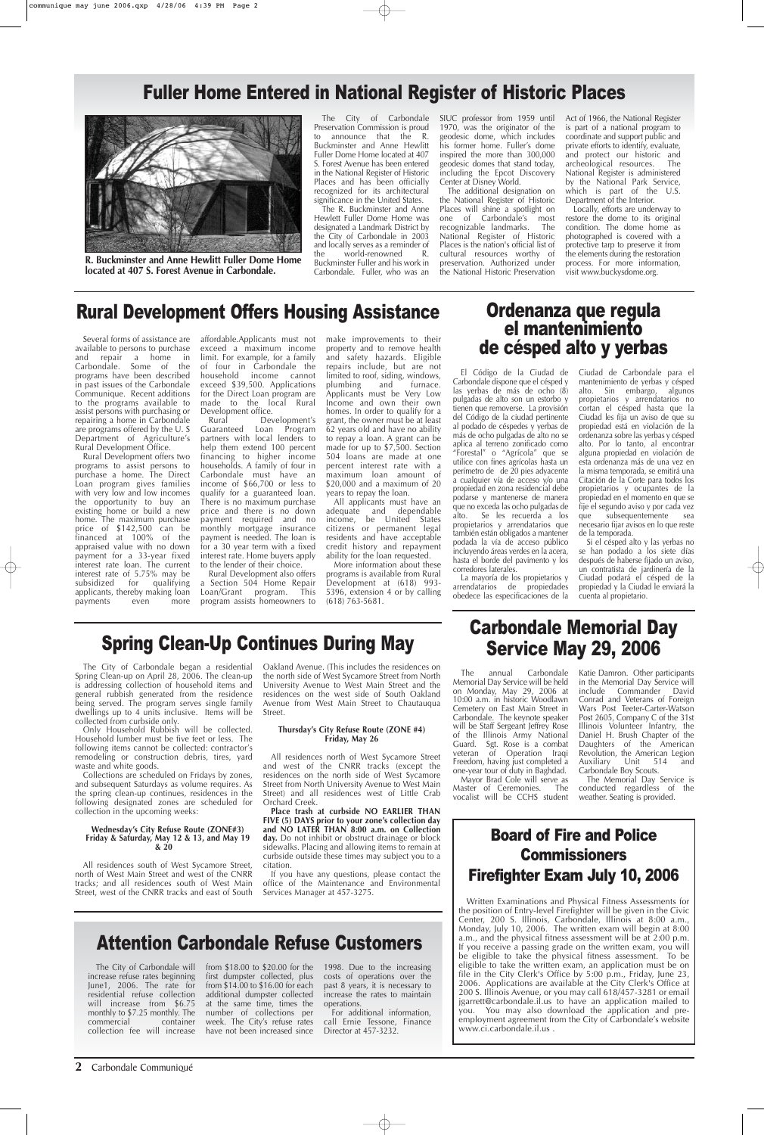**2** Carbondale Communiqué

# Ordenanza que regula el mantenimiento de césped alto y yerbas

### Fuller Home Entered in National Register of Historic Places

El Código de la Ciudad de Carbondale dispone que el césped y las yerbas de más de ocho (8) pulgadas de alto son un estorbo y tienen que removerse. La provisión del Código de la ciudad pertinente al podado de céspedes y yerbas de más de ocho pulgadas de alto no se aplica al terreno zonificado como "Forestal" o "Agrícola" que se utilice con fines agrícolas hasta un perímetro de de 20 pies adyacente a cualquier vía de acceso y/o una propiedad en zona residencial debe podarse y mantenerse de manera que no exceda las ocho pulgadas de alto. Se les recuerda a los propietarios y arrendatarios que también están obligados a mantener podada la vía de acceso público incluyendo áreas verdes en la acera, hasta el borde del pavimento y los corredores laterales.

La mayoría de los propietarios y arrendatarios de propiedades obedece las especificaciones de la Ciudad de Carbondale para el mantenimiento de yerbas y césped alto. Sin embargo, algunos propietarios y arrendatarios no cortan el césped hasta que la Ciudad les fija un aviso de que su propiedad está en violación de la ordenanza sobre las yerbas y césped alto. Por lo tanto, al encontrar alguna propiedad en violación de esta ordenanza más de una vez en la misma temporada, se emitirá una Citación de la Corte para todos los propietarios y ocupantes de la propiedad en el momento en que se fije el segundo aviso y por cada vez que subsequentemente sea necesario fijar avisos en lo que reste de la temporada.

Si el césped alto y las yerbas no se han podado a los siete días después de haberse fijado un aviso, un contratista de jardinería de la Ciudad podará el césped de la propiedad y la Ciudad le enviará la cuenta al propietario.

### Spring Clean-Up Continues During May

The City of Carbondale began a residential Spring Clean-up on April 28, 2006. The clean-up is addressing collection of household items and general rubbish generated from the residence being served. The program serves single family dwellings up to 4 units inclusive. Items will be collected from curbside only.

> Mayor Brad Cole will serve as Master of Ceremonies. The

Only Household Rubbish will be collected. Household lumber must be five feet or less. The following items cannot be collected: contractor's remodeling or construction debris, tires, yard waste and white goods.

Collections are scheduled on Fridays by zones, and subsequent Saturdays as volume requires. As the spring clean-up continues, residences in the following designated zones are scheduled for collection in the upcoming weeks:

#### **Wednesday's City Refuse Route (ZONE#3) Friday & Saturday, May 12 & 13, and May 19 & 20**

All residences south of West Sycamore Street, north of West Main Street and west of the CNRR tracks; and all residences south of West Main Street, west of the CNRR tracks and east of South Oakland Avenue. (This includes the residences on the north side of West Sycamore Street from North University Avenue to West Main Street and the residences on the west side of South Oakland Avenue from West Main Street to Chautauqua Street.

#### **Thursday's City Refuse Route (ZONE #4) Friday, May 26**

All residences north of West Sycamore Street and west of the CNRR tracks (except the residences on the north side of West Sycamore Street from North University Avenue to West Main Street) and all residences west of Little Crab Orchard Creek.

**Place trash at curbside NO EARLIER THAN FIVE (5) DAYS prior to your zone's collection day and NO LATER THAN 8:00 a.m. on Collection day.** Do not inhibit or obstruct drainage or block sidewalks. Placing and allowing items to remain at curbside outside these times may subject you to a citation.

increase refuse rates beginning June1, 2006. The rate for residential refuse collection will increase from \$6.75 monthly to \$7.25 monthly. The<br>commercial container commercial collection fee will increase have not been increased since

If you have any questions, please contact the office of the Maintenance and Environmental Services Manager at 457-3275.

### Rural Development Offers Housing Assistance

### Carbondale Memorial Day Service May 29, 2006

The City of Carbondale will trom \$18.00 to \$20.00 for the 1998. Due to the increasing costs of operations over the past 8 years, it is necessary to increase the rates to maintain operations.

The annual Carbondale Memorial Day Service will be held on Monday, May 29, 2006 at 10:00 a.m. in historic Woodlawn Cemetery on East Main Street in Carbondale. The keynote speaker will be Staff Sergeant Jeffrey Rose of the Illinois Army National Guard. Sgt. Rose is a combat veteran of Operation Iraqi Freedom, having just completed a one-year tour of duty in Baghdad. Katie Damron. Other participants in the Memorial Day Service will include Commander David Conrad and Veterans of Foreign Wars Post Teeter-Carter-Watson Post 2605, Company C of the 31st Illinois Volunteer Infantry, the Daniel H. Brush Chapter of the Daughters of the American Revolution, the American Legion Auxiliary Unit 514 and Carbondale Boy Scouts.

The Memorial Day Service is conducted regardless of the

Several forms of assistance are available to persons to purchase and repair a home in Carbondale. Some of the programs have been described in past issues of the Carbondale Communique. Recent additions to the programs available to assist persons with purchasing or repairing a home in Carbondale are programs offered by the U. S Department of Agriculture's Rural Development Office.

Rural Development offers two programs to assist persons to purchase a home. The Direct Loan program gives families with very low and low incomes the opportunity to buy an existing home or build a new home. The maximum purchase price of \$142,500 can be financed at 100% of the appraised value with no down payment for a 33-year fixed interest rate loan. The current interest rate of 5.75% may be<br>subsidized for qualifying for qualifying applicants, thereby making loan payments even more

affordable.Applicants must not exceed a maximum income limit. For example, for a family of four in Carbondale the household income cannot exceed \$39,500. Applications for the Direct Loan program are made to the local Rural Development office.

Rural Development's Guaranteed Loan Program partners with local lenders to help them extend 100 percent financing to higher income households. A family of four in Carbondale must have an income of \$66,700 or less to qualify for a guaranteed loan. There is no maximum purchase price and there is no down payment required and no monthly mortgage insurance payment is needed. The loan is for a 30 year term with a fixed interest rate. Home buyers apply to the lender of their choice.

Rural Development also offers a Section 504 Home Repair Loan/Grant program. This program assists homeowners to make improvements to their property and to remove health and safety hazards. Eligible repairs include, but are not limited to roof, siding, windows,<br>plumbing and furnace. plumbing and Applicants must be Very Low Income and own their own homes. In order to qualify for a grant, the owner must be at least 62 years old and have no ability to repay a loan. A grant can be made for up to \$7,500. Section 504 loans are made at one percent interest rate with a maximum loan amount of \$20,000 and a maximum of 20 years to repay the loan.

All applicants must have an adequate and dependable income, be United States citizens or permanent legal residents and have acceptable credit history and repayment ability for the loan requested.

More information about these programs is available from Rural Development at (618) 993- 5396, extension 4 or by calling (618) 763-5681.

## Attention Carbondale Refuse Customers

first dumpster collected, plus from \$14.00 to \$16.00 for each additional dumpster collected at the same time, times the number of collections per week. The City's refuse rates

For additional information, call Ernie Tessone, Finance Director at 457-3232.

vocalist will be CCHS student weather. Seating is provided.

The City of Carbondale Preservation Commission is proud to announce that the R. Buckminster and Anne Hewlitt Fuller Dome Home located at 407 S. Forest Avenue has been entered in the National Register of Historic Places and has been officially recognized for its architectural significance in the United States.

The R. Buckminster and Anne Hewlett Fuller Dome Home was designated a Landmark District by the City of Carbondale in 2003 and locally serves as a reminder of the world-renowned R. Buckminster Fuller and his work in

Carbondale. Fuller, who was an

SIUC professor from 1959 until 1970, was the originator of the geodesic dome, which includes his former home. Fuller's dome inspired the more than 300,000 geodesic domes that stand today, including the Epcot Discovery Center at Disney World.

The additional designation on the National Register of Historic Places will shine a spotlight on one of Carbondale's most recognizable landmarks. The National Register of Historic Places is the nation's official list of cultural resources worthy of preservation. Authorized under the National Historic Preservation Act of 1966, the National Register is part of a national program to coordinate and support public and private efforts to identify, evaluate, and protect our historic and archeological resources. The National Register is administered by the National Park Service, which is part of the U.S. Department of the Interior.

Locally, efforts are underway to restore the dome to its original condition. The dome home as photographed is covered with a protective tarp to preserve it from the elements during the restoration process. For more information, visit www.buckysdome.org.

### Board of Fire and Police **Commissioners** Firefighter Exam July 10, 2006

Written Examinations and Physical Fitness Assessments for the position of Entry-level Firefighter will be given in the Civic Center, 200 S. Illinois, Carbondale, Illinois at 8:00 a.m., Monday, July 10, 2006. The written exam will begin at 8:00 a.m., and the physical fitness assessment will be at 2:00 p.m. If you receive a passing grade on the written exam, you will be eligible to take the physical fitness assessment. To be eligible to take the written exam, an application must be on file in the City Clerk's Office by 5:00 p.m., Friday, June 23, 2006. Applications are available at the City Clerk's Office at 200 S. Illinois Avenue, or you may call 618/457-3281 or email jgarrett@carbondale.il.us to have an application mailed to you. You may also download the application and preemployment agreement from the City of Carbondale's website www.ci.carbondale.il.us .



**R. Buckminster and Anne Hewlitt Fuller Dome Home located at 407 S. Forest Avenue in Carbondale.**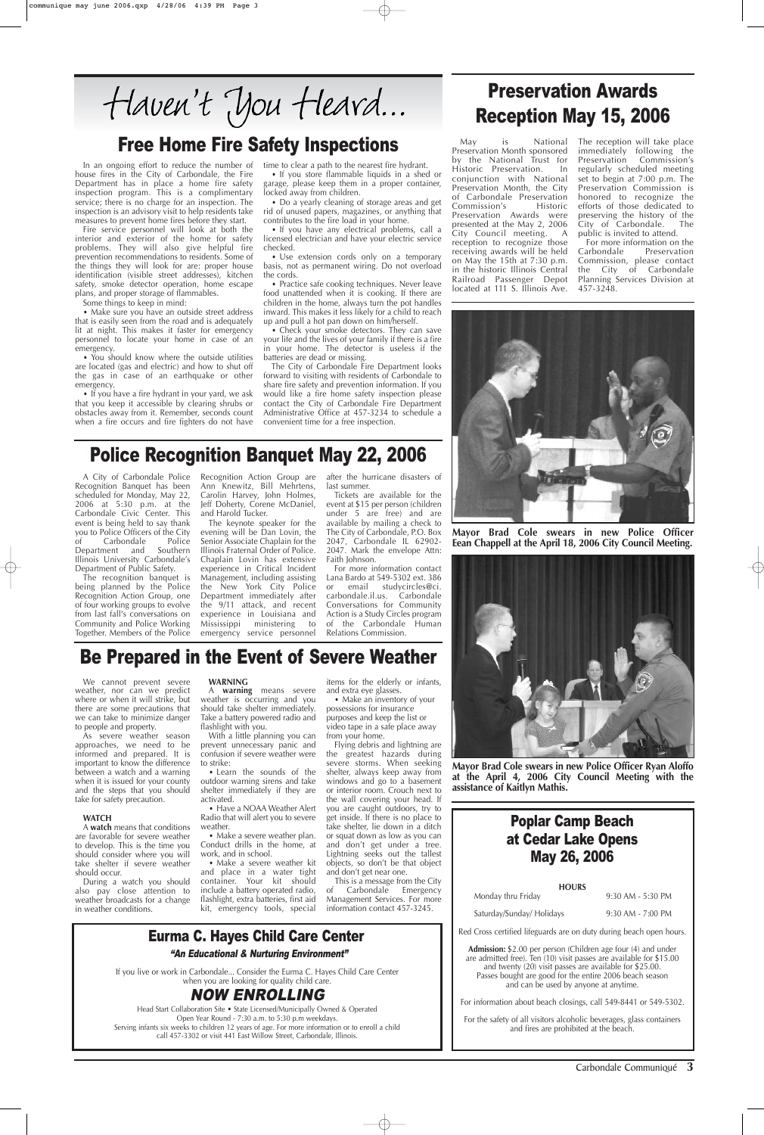We cannot prevent severe weather, nor can we predict where or when it will strike, but there are some precautions that we can take to minimize danger to people and property.

As severe weather season approaches, we need to be informed and prepared. It is important to know the difference between a watch and a warning when it is issued for your county and the steps that you should

take for safety precaution.

#### **WATCH**

A **watch** means that conditions are favorable for severe weather to develop. This is the time you should consider where you will take shelter if severe weather should occur.

During a watch you should also pay close attention to weather broadcasts for a change in weather conditions.

#### **WARNING**

A **warning** means severe weather is occurring and you should take shelter immediately. Take a battery powered radio and flashlight with you.

With a little planning you can prevent unnecessary panic and confusion if severe weather were to strike:

• Learn the sounds of the outdoor warning sirens and take shelter immediately if they are activated. • Have a NOAA Weather Alert Radio that will alert you to severe weather. • Make a severe weather plan. Conduct drills in the home, at work, and in school. • Make a severe weather kit and place in a water tight container. Your kit should include a battery operated radio, flashlight, extra batteries, first aid kit, emergency tools, special

items for the elderly or infants, and extra eye glasses.

• Make an inventory of your possessions for insurance purposes and keep the list or video tape in a safe place away from your home.

Flying debris and lightning are the greatest hazards during severe storms. When seeking shelter, always keep away from windows and go to a basement or interior room. Crouch next to the wall covering your head. If you are caught outdoors, try to get inside. If there is no place to take shelter, lie down in a ditch or squat down as low as you can and don't get under a tree. Lightning seeks out the tallest objects, so don't be that object and don't get near one. This is a message from the City of Carbondale Emergency Management Services. For more information contact 457-3245.

#### Carbondale Communiqué **3**

In an ongoing effort to reduce the number of house fires in the City of Carbondale, the Fire Department has in place a home fire safety inspection program. This is a complimentary service; there is no charge for an inspection. The inspection is an advisory visit to help residents take measures to prevent home fires before they start.

Fire service personnel will look at both the interior and exterior of the home for safety problems. They will also give helpful fire prevention recommendations to residents. Some of the things they will look for are: proper house identification (visible street addresses), kitchen safety, smoke detector operation, home escape plans, and proper storage of flammables.

Some things to keep in mind:

• Make sure you have an outside street address that is easily seen from the road and is adequately lit at night. This makes it faster for emergency personnel to locate your home in case of an emergency.

> For more information contact Lana Bardo at 549-5302 ext. 386 or email studycircles@ci. carbondale.il.us. Carbondale Conversations for Community Action is a Study Circles program of the Carbondale Human Relations Commission.

• You should know where the outside utilities are located (gas and electric) and how to shut off the gas in case of an earthquake or other emergency.

• If you have a fire hydrant in your yard, we ask that you keep it accessible by clearing shrubs or obstacles away from it. Remember, seconds count when a fire occurs and fire fighters do not have

time to clear a path to the nearest fire hydrant.

• If you store flammable liquids in a shed or garage, please keep them in a proper container, locked away from children.

> For more information on the<br>Carbondale Preservation Preservation Commission, please contact the City of Carbondale Planning Services Division at 457-3248.



• Do a yearly cleaning of storage areas and get rid of unused papers, magazines, or anything that contributes to the fire load in your home.

• If you have any electrical problems, call a licensed electrician and have your electric service checked.

• Use extension cords only on a temporary basis, not as permanent wiring. Do not overload the cords.

• Practice safe cooking techniques. Never leave food unattended when it is cooking. If there are children in the home, always turn the pot handles inward. This makes it less likely for a child to reach up and pull a hot pan down on him/herself.

If you live or work in Carbondale... Consider the Eurma C. Hayes Child Care Center when you are looking for quality child care.

• Check your smoke detectors. They can save your life and the lives of your family if there is a fire in your home. The detector is useless if the batteries are dead or missing.

The City of Carbondale Fire Department looks forward to visiting with residents of Carbondale to share fire safety and prevention information. If you would like a fire home safety inspection please contact the City of Carbondale Fire Department Administrative Office at 457-3234 to schedule a convenient time for a free inspection.

## Free Home Fire Safety Inspections

### Be Prepared in the Event of Severe Weather

A City of Carbondale Police Recognition Banquet has been scheduled for Monday, May 22, 2006 at 5:30 p.m. at the Carbondale Civic Center. This event is being held to say thank you to Police Officers of the City<br>of Carbondale Police of Carbondale Police<br>Department and Southern Department and Illinois University Carbondale's Department of Public Safety.

The recognition banquet is being planned by the Police Recognition Action Group, one of four working groups to evolve from last fall's conversations on Community and Police Working Together. Members of the Police Recognition Action Group are Ann Knewitz, Bill Mehrtens, Carolin Harvey, John Holmes, Jeff Doherty, Corene McDaniel, and Harold Tucker.

The keynote speaker for the evening will be Dan Lovin, the Senior Associate Chaplain for the Illinois Fraternal Order of Police. Chaplain Lovin has extensive experience in Critical Incident Management, including assisting the New York City Police Department immediately after the 9/11 attack, and recent experience in Louisiana and Mississippi ministering to emergency service personnel after the hurricane disasters of last summer.

Tickets are available for the event at \$15 per person (children under 5 are free) and are available by mailing a check to The City of Carbondale, P.O. Box 2047, Carbondale IL 62902- 2047. Mark the envelope Attn: Faith Johnson.

## Police Recognition Banquet May 22, 2006

## Preservation Awards Reception May 15, 2006

May is National Preservation Month sponsored by the National Trust for Historic Preservation. In conjunction with National Preservation Month, the City of Carbondale Preservation Commission's Historic Preservation Awards were presented at the May 2, 2006 City Council meeting. A reception to recognize those receiving awards will be held on May the 15th at 7:30 p.m. in the historic Illinois Central Railroad Passenger Depot located at 111 S. Illinois Ave. The reception will take place immediately following the Preservation Commission's regularly scheduled meeting set to begin at 7:00 p.m. The Preservation Commission is honored to recognize the efforts of those dedicated to preserving the history of the City of Carbondale. The public is invited to attend.



**Mayor Brad Cole swears in new Police Officer Ryan Aloffo at the April 4, 2006 City Council Meeting with the assistance of Kaitlyn Mathis.**

**Mayor Brad Cole swears in new Police Officer Eean Chappell at the April 18, 2006 City Council Meeting.**

### Poplar Camp Beach at Cedar Lake Opens May 26, 2006

#### **HOURS**

Monday thru Friday 9:30 AM - 5:30 PM

Saturday/Sunday/ Holidays 9:30 AM - 7:00 PM

Red Cross certified lifeguards are on duty during beach open hours.

**Admission:** \$2.00 per person (Children age four (4) and under are admitted free). Ten (10) visit passes are available for \$15.00 and twenty (20) visit passes are available for \$25.00. Passes bought are good for the entire 2006 beach season and can be used by anyone at anytime.

For information about beach closings, call 549-8441 or 549-5302.

For the safety of all visitors alcoholic beverages, glass containers and fires are prohibited at the beach.

### Eurma C. Hayes Child Care Center

### NOW ENROLLING

Head Start Collaboration Site • State Licensed/Municipally Owned & Operated Open Year Round - 7:30 a.m. to 5:30 p.m weekdays. Serving infants six weeks to children 12 years of age. For more information or to enroll a child call 457-3302 or visit 441 East Willow Street, Carbondale, Illinois.

#### "An Educational & Nurturing Environment"

Haven't You Heard...